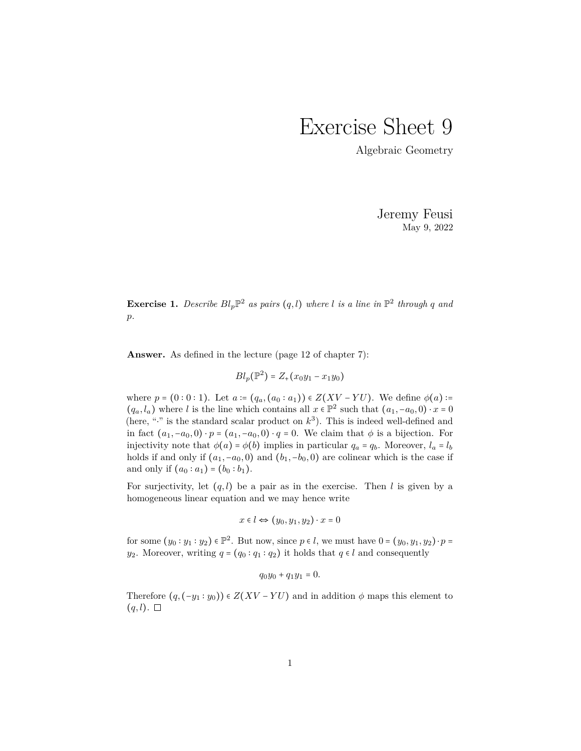## Exercise Sheet 9

Algebraic Geometry

Jeremy Feusi May 9, 2022

**Exercise 1.** Describe  $Bl_p\mathbb{P}^2$  as pairs  $(q, l)$  where *l* is a line in  $\mathbb{P}^2$  through q and *p.*

**Answer.** As defined in the lecture (page 12 of chapter 7):

 $Bl_p(\mathbb{P}^2) = Z_+(x_0y_1 - x_1y_0)$ 

where  $p = (0:0:1)$ . Let  $a := (q_a, (a_0: a_1)) \in Z(XV - YU)$ . We define  $\phi(a)$ :=  $(q_a, l_a)$  where *l* is the line which contains all  $x \in \mathbb{P}^2$  such that  $(a_1, -a_0, 0) \cdot x = 0$ (here, " $\cdot$ " is the standard scalar product on  $k^3$ ). This is indeed well-defined and in fact  $(a_1, -a_0, 0) \cdot p = (a_1, -a_0, 0) \cdot q = 0$ . We claim that  $\phi$  is a bijection. For injectivity note that  $\phi(a) = \phi(b)$  implies in particular  $q_a = q_b$ . Moreover,  $l_a = l_b$ holds if and only if  $(a_1, -a_0, 0)$  and  $(b_1, -b_0, 0)$  are colinear which is the case if and only if  $(a_0 : a_1) = (b_0 : b_1)$ .

For surjectivity, let  $(q, l)$  be a pair as in the exercise. Then *l* is given by a homogeneous linear equation and we may hence write

$$
x \in l \Leftrightarrow (y_0, y_1, y_2) \cdot x = 0
$$

for some  $(y_0: y_1: y_2) \in \mathbb{P}^2$ . But now, since  $p \in l$ , we must have  $0 = (y_0, y_1, y_2) \cdot p =$ *y*<sub>2</sub>. Moreover, writing  $q = (q_0 : q_1 : q_2)$  it holds that  $q \in l$  and consequently

$$
q_0y_0 + q_1y_1 = 0.
$$

Therefore  $(q, (-y_1 : y_0)) \in Z(XV - YU)$  and in addition  $\phi$  maps this element to  $(q, l)$ .  $\Box$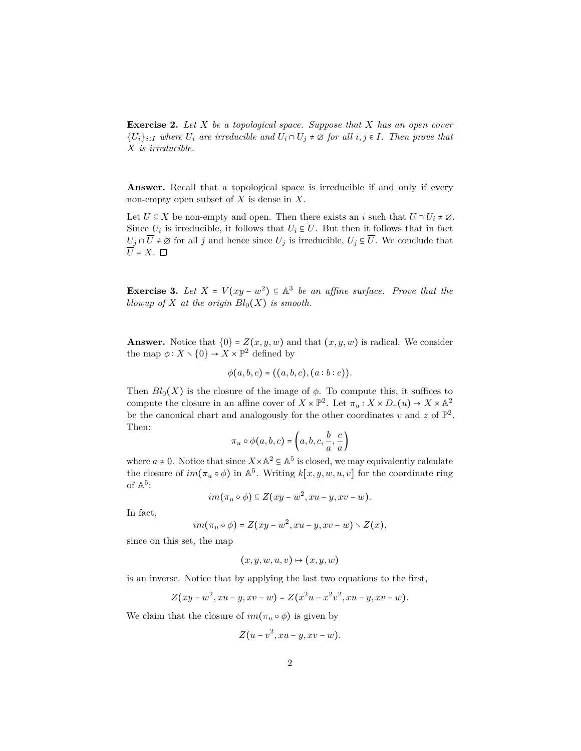**Exercise 2.** *Let X be a topological space. Suppose that X has an open cover*  ${U_i}_{i \in I}$  *where*  $U_i$  *are irreducible and*  $U_i \cap U_j \neq \emptyset$  *for all*  $i, j \in I$ *. Then prove that X is irreducible.*

**Answer.** Recall that a topological space is irreducible if and only if every non-empty open subset of *X* is dense in *X*.

Let  $U \subseteq X$  be non-empty and open. Then there exists an *i* such that  $U \cap U_i \neq \emptyset$ . Since  $U_i$  is irreducible, it follows that  $U_i \subseteq U$ . But then it follows that in fact  $U_j \cap \overline{U} \neq \emptyset$  for all *j* and hence since  $U_j$  is irreducible,  $U_j \subseteq \overline{U}$ . We conclude that  $\overline{U}$  = X.  $\Box$ 

**Exercise 3.** Let  $X = V(xy - w^2) \subseteq \mathbb{A}^3$  be an affine surface. Prove that the *blowup of X at the origin*  $Bl_0(X)$  *is smooth.* 

**Answer.** Notice that  $\{0\} = Z(x, y, w)$  and that  $(x, y, w)$  is radical. We consider the map  $\phi: X \setminus \{0\} \to X \times \mathbb{P}^2$  defined by

$$
\phi(a, b, c) = ((a, b, c), (a : b : c)).
$$

Then  $Bl_0(X)$  is the closure of the image of  $\phi$ . To compute this, it suffices to compute the closure in an affine cover of  $X \times \mathbb{P}^2$ . Let  $\pi_u : X \times D_+(u) \to X \times \mathbb{A}^2$ be the canonical chart and analogously for the other coordinates  $v$  and  $z$  of  $\mathbb{P}^2$ . Then:

$$
\pi_u \circ \phi(a, b, c) = \left(a, b, c, \frac{b}{a}, \frac{c}{a}\right)
$$

where  $a \neq 0$ . Notice that since  $X \times \mathbb{A}^2 \subseteq \mathbb{A}^5$  is closed, we may equivalently calculate the closure of  $im(\pi_u \circ \phi)$  in  $\mathbb{A}^5$ . Writing  $k[x, y, w, u, v]$  for the coordinate ring of  $\mathbb{A}^5$ :

$$
im(\pi_u \circ \phi) \subseteq Z(xy - w^2, xu - y, xv - w).
$$

In fact,

$$
im(\pi_u \circ \phi) = Z(xy - w^2, xu - y, xv - w) \setminus Z(x),
$$

since on this set, the map

$$
(x, y, w, u, v) \mapsto (x, y, w)
$$

is an inverse. Notice that by applying the last two equations to the first,

$$
Z(xy - w^2, xu - y, xv - w) = Z(x^2u - x^2v^2, xu - y, xv - w).
$$

We claim that the closure of  $im(\pi_u \circ \phi)$  is given by

$$
Z(u-v^2,xu-y,xv-w).
$$